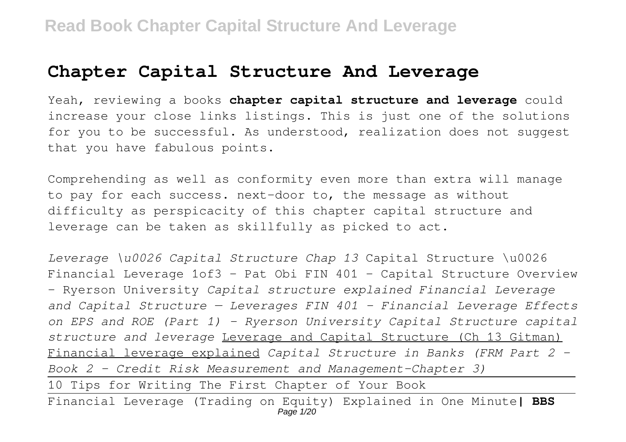# **Chapter Capital Structure And Leverage**

Yeah, reviewing a books **chapter capital structure and leverage** could increase your close links listings. This is just one of the solutions for you to be successful. As understood, realization does not suggest that you have fabulous points.

Comprehending as well as conformity even more than extra will manage to pay for each success. next-door to, the message as without difficulty as perspicacity of this chapter capital structure and leverage can be taken as skillfully as picked to act.

*Leverage \u0026 Capital Structure Chap 13* Capital Structure \u0026 Financial Leverage 1of3 - Pat Obi FIN 401 - Capital Structure Overview - Ryerson University *Capital structure explained Financial Leverage and Capital Structure — Leverages FIN 401 - Financial Leverage Effects on EPS and ROE (Part 1) - Ryerson University Capital Structure capital structure and leverage* Leverage and Capital Structure (Ch 13 Gitman) Financial leverage explained *Capital Structure in Banks (FRM Part 2 – Book 2 – Credit Risk Measurement and Management–Chapter 3)*

10 Tips for Writing The First Chapter of Your Book

Financial Leverage (Trading on Equity) Explained in One Minute**| BBS** Page 1/20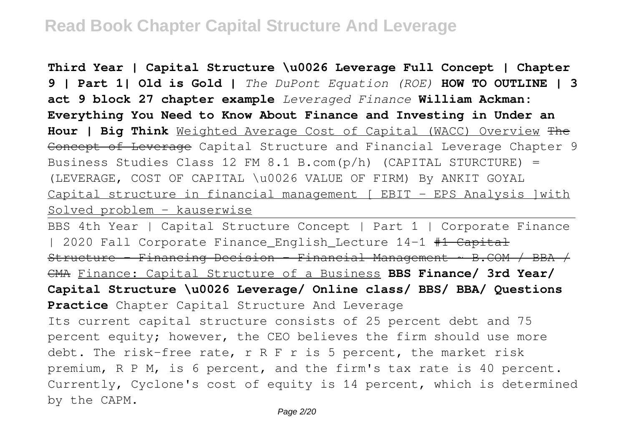**Third Year | Capital Structure \u0026 Leverage Full Concept | Chapter 9 | Part 1| Old is Gold |** *The DuPont Equation (ROE)* **HOW TO OUTLINE | 3 act 9 block 27 chapter example** *Leveraged Finance* **William Ackman: Everything You Need to Know About Finance and Investing in Under an Hour | Big Think** Weighted Average Cost of Capital (WACC) Overview The Concept of Leverage Capital Structure and Financial Leverage Chapter 9 Business Studies Class 12 FM 8.1 B.com(p/h) (CAPITAL STURCTURE) = (LEVERAGE, COST OF CAPITAL \u0026 VALUE OF FIRM) By ANKIT GOYAL Capital structure in financial management [ EBIT - EPS Analysis ]with Solved problem - kauserwise

BBS 4th Year | Capital Structure Concept | Part 1 | Corporate Finance | 2020 Fall Corporate Finance\_English\_Lecture 14-1 #1 Capital Structure - Financing Decision - Financial Management ~ B.COM / BBA / CMA Finance: Capital Structure of a Business **BBS Finance/ 3rd Year/ Capital Structure \u0026 Leverage/ Online class/ BBS/ BBA/ Questions Practice** Chapter Capital Structure And Leverage Its current capital structure consists of 25 percent debt and 75 percent equity; however, the CEO believes the firm should use more debt. The risk-free rate, r R F r is 5 percent, the market risk premium, R P M, is 6 percent, and the firm's tax rate is 40 percent. Currently, Cyclone's cost of equity is 14 percent, which is determined by the CAPM.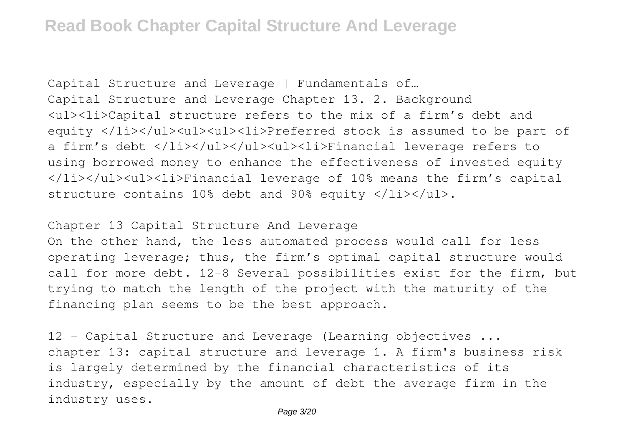Capital Structure and Leverage | Fundamentals of… Capital Structure and Leverage Chapter 13. 2. Background <ul><li>Capital structure refers to the mix of a firm's debt and equity </li></ul><ul><ul><li>Preferred stock is assumed to be part of a firm's debt </li></ul></ul><ul><li>Financial leverage refers to using borrowed money to enhance the effectiveness of invested equity </li></ul><ul><li>Financial leverage of 10% means the firm's capital structure contains 10% debt and 90% equity  $\langle$ /li> $\langle$ /ul>.

Chapter 13 Capital Structure And Leverage

On the other hand, the less automated process would call for less operating leverage; thus, the firm's optimal capital structure would call for more debt. 12-8 Several possibilities exist for the firm, but trying to match the length of the project with the maturity of the financing plan seems to be the best approach.

12 - Capital Structure and Leverage (Learning objectives ... chapter 13: capital structure and leverage 1. A firm's business risk is largely determined by the financial characteristics of its industry, especially by the amount of debt the average firm in the industry uses.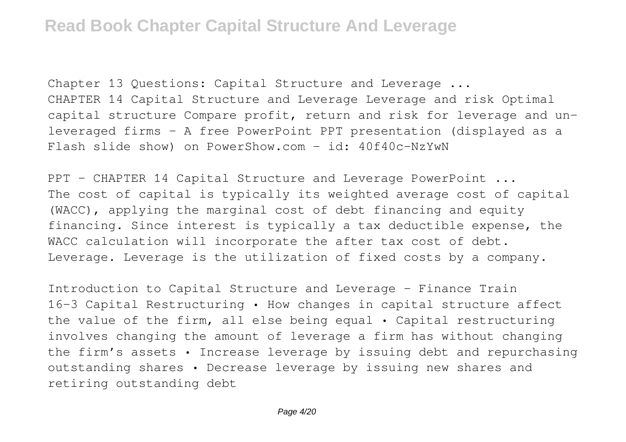Chapter 13 Questions: Capital Structure and Leverage ... CHAPTER 14 Capital Structure and Leverage Leverage and risk Optimal capital structure Compare profit, return and risk for leverage and unleveraged firms – A free PowerPoint PPT presentation (displayed as a Flash slide show) on PowerShow.com - id: 40f40c-NzYwN

PPT - CHAPTER 14 Capital Structure and Leverage PowerPoint ... The cost of capital is typically its weighted average cost of capital (WACC), applying the marginal cost of debt financing and equity financing. Since interest is typically a tax deductible expense, the WACC calculation will incorporate the after tax cost of debt. Leverage. Leverage is the utilization of fixed costs by a company.

Introduction to Capital Structure and Leverage - Finance Train 16-3 Capital Restructuring • How changes in capital structure affect the value of the firm, all else being equal • Capital restructuring involves changing the amount of leverage a firm has without changing the firm's assets • Increase leverage by issuing debt and repurchasing outstanding shares • Decrease leverage by issuing new shares and retiring outstanding debt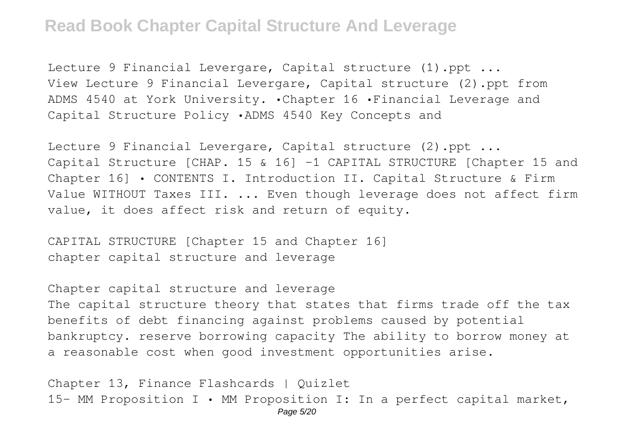Lecture 9 Financial Levergare, Capital structure (1).ppt ... View Lecture 9 Financial Levergare, Capital structure (2).ppt from ADMS 4540 at York University. •Chapter 16 •Financial Leverage and Capital Structure Policy •ADMS 4540 Key Concepts and

Lecture 9 Financial Levergare, Capital structure (2).ppt ... Capital Structure [CHAP. 15 & 16] -1 CAPITAL STRUCTURE [Chapter 15 and Chapter 16] • CONTENTS I. Introduction II. Capital Structure & Firm Value WITHOUT Taxes III. ... Even though leverage does not affect firm value, it does affect risk and return of equity.

CAPITAL STRUCTURE [Chapter 15 and Chapter 16] chapter capital structure and leverage

Chapter capital structure and leverage The capital structure theory that states that firms trade off the tax benefits of debt financing against problems caused by potential bankruptcy. reserve borrowing capacity The ability to borrow money at a reasonable cost when good investment opportunities arise.

Chapter 13, Finance Flashcards | Quizlet 15- MM Proposition I • MM Proposition I: In a perfect capital market, Page 5/20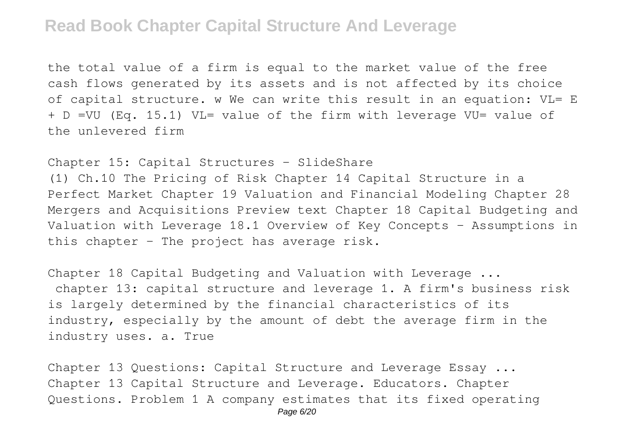the total value of a firm is equal to the market value of the free cash flows generated by its assets and is not affected by its choice of capital structure. w We can write this result in an equation: VL= E + D =VU (Eq. 15.1) VL= value of the firm with leverage VU= value of the unlevered firm

Chapter 15: Capital Structures - SlideShare (1) Ch.10 The Pricing of Risk Chapter 14 Capital Structure in a Perfect Market Chapter 19 Valuation and Financial Modeling Chapter 28 Mergers and Acquisitions Preview text Chapter 18 Capital Budgeting and Valuation with Leverage 18.1 Overview of Key Concepts - Assumptions in this chapter - The project has average risk.

Chapter 18 Capital Budgeting and Valuation with Leverage ... chapter 13: capital structure and leverage 1. A firm's business risk is largely determined by the financial characteristics of its industry, especially by the amount of debt the average firm in the industry uses. a. True

Chapter 13 Questions: Capital Structure and Leverage Essay ... Chapter 13 Capital Structure and Leverage. Educators. Chapter Questions. Problem 1 A company estimates that its fixed operating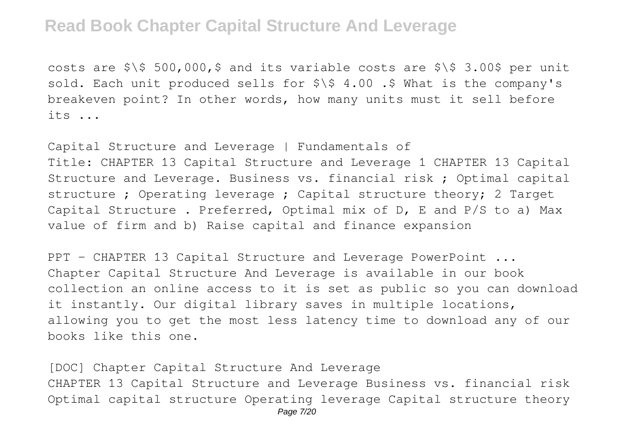costs are  $\frac{1}{500}$ ,  $\frac{1}{500}$ ,  $\frac{1}{500}$ ,  $\frac{1}{500}$  and its variable costs are  $\frac{1}{500}$  3.00\$ per unit sold. Each unit produced sells for  $\frac{1}{5}$  4.00 .\$ What is the company's breakeven point? In other words, how many units must it sell before its ...

Capital Structure and Leverage | Fundamentals of Title: CHAPTER 13 Capital Structure and Leverage 1 CHAPTER 13 Capital Structure and Leverage. Business vs. financial risk ; Optimal capital structure ; Operating leverage ; Capital structure theory; 2 Target Capital Structure . Preferred, Optimal mix of D, E and P/S to a) Max value of firm and b) Raise capital and finance expansion

PPT - CHAPTER 13 Capital Structure and Leverage PowerPoint ... Chapter Capital Structure And Leverage is available in our book collection an online access to it is set as public so you can download it instantly. Our digital library saves in multiple locations, allowing you to get the most less latency time to download any of our books like this one.

[DOC] Chapter Capital Structure And Leverage CHAPTER 13 Capital Structure and Leverage Business vs. financial risk Optimal capital structure Operating leverage Capital structure theory Page 7/20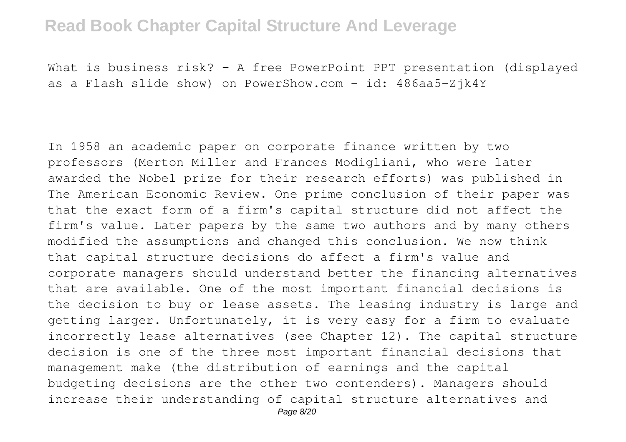What is business risk? – A free PowerPoint PPT presentation (displayed as a Flash slide show) on PowerShow.com - id: 486aa5-Zjk4Y

In 1958 an academic paper on corporate finance written by two professors (Merton Miller and Frances Modigliani, who were later awarded the Nobel prize for their research efforts) was published in The American Economic Review. One prime conclusion of their paper was that the exact form of a firm's capital structure did not affect the firm's value. Later papers by the same two authors and by many others modified the assumptions and changed this conclusion. We now think that capital structure decisions do affect a firm's value and corporate managers should understand better the financing alternatives that are available. One of the most important financial decisions is the decision to buy or lease assets. The leasing industry is large and getting larger. Unfortunately, it is very easy for a firm to evaluate incorrectly lease alternatives (see Chapter 12). The capital structure decision is one of the three most important financial decisions that management make (the distribution of earnings and the capital budgeting decisions are the other two contenders). Managers should increase their understanding of capital structure alternatives and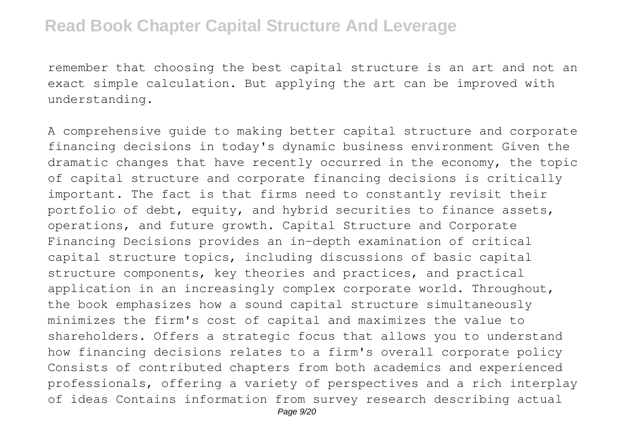remember that choosing the best capital structure is an art and not an exact simple calculation. But applying the art can be improved with understanding.

A comprehensive guide to making better capital structure and corporate financing decisions in today's dynamic business environment Given the dramatic changes that have recently occurred in the economy, the topic of capital structure and corporate financing decisions is critically important. The fact is that firms need to constantly revisit their portfolio of debt, equity, and hybrid securities to finance assets, operations, and future growth. Capital Structure and Corporate Financing Decisions provides an in-depth examination of critical capital structure topics, including discussions of basic capital structure components, key theories and practices, and practical application in an increasingly complex corporate world. Throughout, the book emphasizes how a sound capital structure simultaneously minimizes the firm's cost of capital and maximizes the value to shareholders. Offers a strategic focus that allows you to understand how financing decisions relates to a firm's overall corporate policy Consists of contributed chapters from both academics and experienced professionals, offering a variety of perspectives and a rich interplay of ideas Contains information from survey research describing actual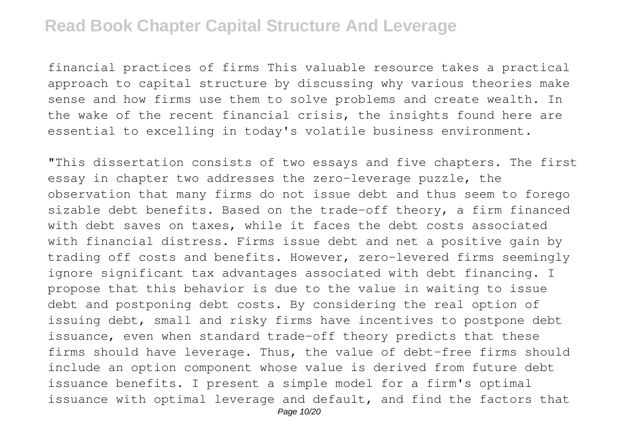financial practices of firms This valuable resource takes a practical approach to capital structure by discussing why various theories make sense and how firms use them to solve problems and create wealth. In the wake of the recent financial crisis, the insights found here are essential to excelling in today's volatile business environment.

"This dissertation consists of two essays and five chapters. The first essay in chapter two addresses the zero-leverage puzzle, the observation that many firms do not issue debt and thus seem to forego sizable debt benefits. Based on the trade-off theory, a firm financed with debt saves on taxes, while it faces the debt costs associated with financial distress. Firms issue debt and net a positive gain by trading off costs and benefits. However, zero-levered firms seemingly ignore significant tax advantages associated with debt financing. I propose that this behavior is due to the value in waiting to issue debt and postponing debt costs. By considering the real option of issuing debt, small and risky firms have incentives to postpone debt issuance, even when standard trade-off theory predicts that these firms should have leverage. Thus, the value of debt-free firms should include an option component whose value is derived from future debt issuance benefits. I present a simple model for a firm's optimal issuance with optimal leverage and default, and find the factors that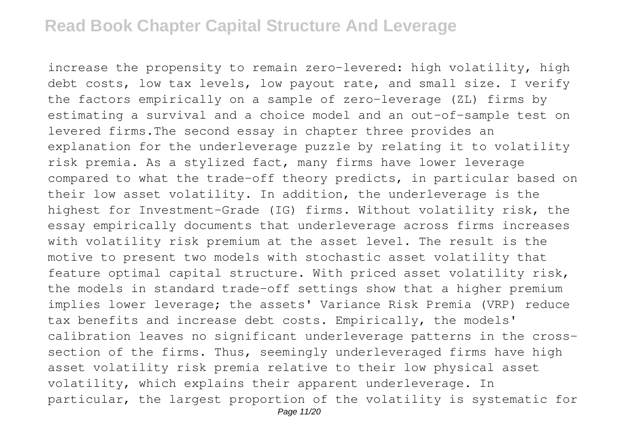increase the propensity to remain zero-levered: high volatility, high debt costs, low tax levels, low payout rate, and small size. I verify the factors empirically on a sample of zero-leverage (ZL) firms by estimating a survival and a choice model and an out-of-sample test on levered firms.The second essay in chapter three provides an explanation for the underleverage puzzle by relating it to volatility risk premia. As a stylized fact, many firms have lower leverage compared to what the trade-off theory predicts, in particular based on their low asset volatility. In addition, the underleverage is the highest for Investment-Grade (IG) firms. Without volatility risk, the essay empirically documents that underleverage across firms increases with volatility risk premium at the asset level. The result is the motive to present two models with stochastic asset volatility that feature optimal capital structure. With priced asset volatility risk, the models in standard trade-off settings show that a higher premium implies lower leverage; the assets' Variance Risk Premia (VRP) reduce tax benefits and increase debt costs. Empirically, the models' calibration leaves no significant underleverage patterns in the crosssection of the firms. Thus, seemingly underleveraged firms have high asset volatility risk premia relative to their low physical asset volatility, which explains their apparent underleverage. In particular, the largest proportion of the volatility is systematic for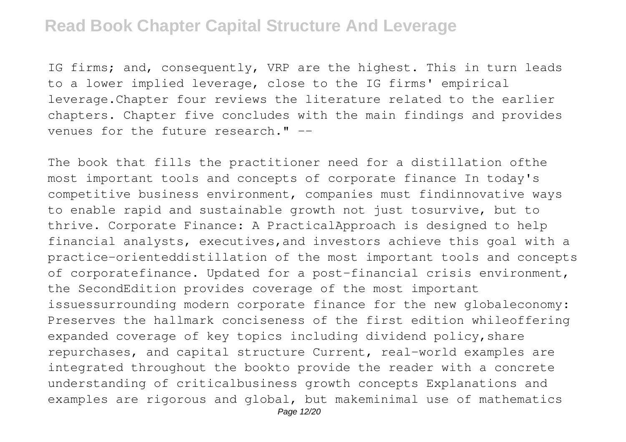IG firms; and, consequently, VRP are the highest. This in turn leads to a lower implied leverage, close to the IG firms' empirical leverage.Chapter four reviews the literature related to the earlier chapters. Chapter five concludes with the main findings and provides venues for the future research." --

The book that fills the practitioner need for a distillation ofthe most important tools and concepts of corporate finance In today's competitive business environment, companies must findinnovative ways to enable rapid and sustainable growth not just tosurvive, but to thrive. Corporate Finance: A PracticalApproach is designed to help financial analysts, executives,and investors achieve this goal with a practice-orienteddistillation of the most important tools and concepts of corporatefinance. Updated for a post-financial crisis environment, the SecondEdition provides coverage of the most important issuessurrounding modern corporate finance for the new globaleconomy: Preserves the hallmark conciseness of the first edition whileoffering expanded coverage of key topics including dividend policy, share repurchases, and capital structure Current, real-world examples are integrated throughout the bookto provide the reader with a concrete understanding of criticalbusiness growth concepts Explanations and examples are rigorous and global, but makeminimal use of mathematics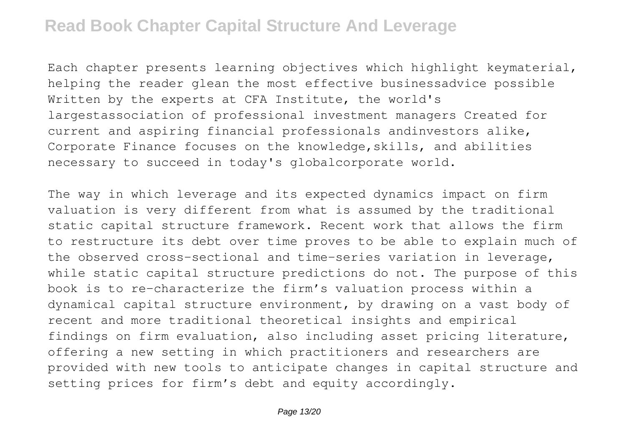Each chapter presents learning objectives which highlight keymaterial, helping the reader glean the most effective businessadvice possible Written by the experts at CFA Institute, the world's largestassociation of professional investment managers Created for current and aspiring financial professionals andinvestors alike, Corporate Finance focuses on the knowledge,skills, and abilities necessary to succeed in today's globalcorporate world.

The way in which leverage and its expected dynamics impact on firm valuation is very different from what is assumed by the traditional static capital structure framework. Recent work that allows the firm to restructure its debt over time proves to be able to explain much of the observed cross-sectional and time-series variation in leverage, while static capital structure predictions do not. The purpose of this book is to re-characterize the firm's valuation process within a dynamical capital structure environment, by drawing on a vast body of recent and more traditional theoretical insights and empirical findings on firm evaluation, also including asset pricing literature, offering a new setting in which practitioners and researchers are provided with new tools to anticipate changes in capital structure and setting prices for firm's debt and equity accordingly.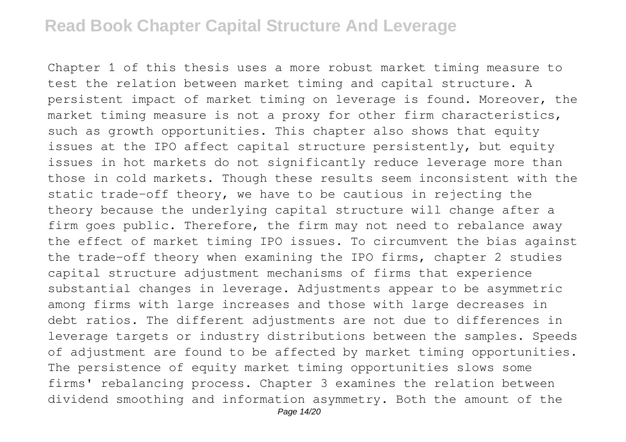Chapter 1 of this thesis uses a more robust market timing measure to test the relation between market timing and capital structure. A persistent impact of market timing on leverage is found. Moreover, the market timing measure is not a proxy for other firm characteristics, such as growth opportunities. This chapter also shows that equity issues at the IPO affect capital structure persistently, but equity issues in hot markets do not significantly reduce leverage more than those in cold markets. Though these results seem inconsistent with the static trade-off theory, we have to be cautious in rejecting the theory because the underlying capital structure will change after a firm goes public. Therefore, the firm may not need to rebalance away the effect of market timing IPO issues. To circumvent the bias against the trade-off theory when examining the IPO firms, chapter 2 studies capital structure adjustment mechanisms of firms that experience substantial changes in leverage. Adjustments appear to be asymmetric among firms with large increases and those with large decreases in debt ratios. The different adjustments are not due to differences in leverage targets or industry distributions between the samples. Speeds of adjustment are found to be affected by market timing opportunities. The persistence of equity market timing opportunities slows some firms' rebalancing process. Chapter 3 examines the relation between dividend smoothing and information asymmetry. Both the amount of the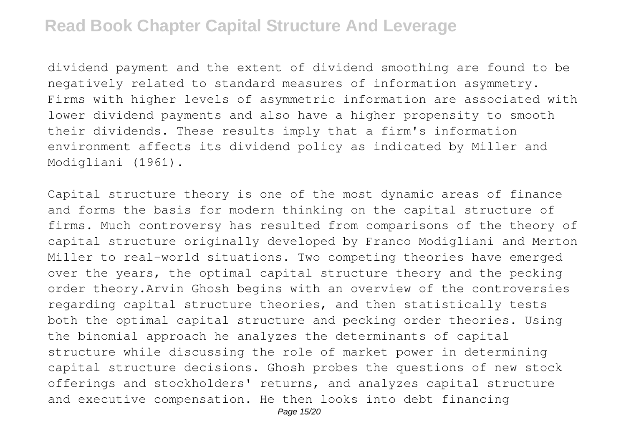dividend payment and the extent of dividend smoothing are found to be negatively related to standard measures of information asymmetry. Firms with higher levels of asymmetric information are associated with lower dividend payments and also have a higher propensity to smooth their dividends. These results imply that a firm's information environment affects its dividend policy as indicated by Miller and Modigliani (1961).

Capital structure theory is one of the most dynamic areas of finance and forms the basis for modern thinking on the capital structure of firms. Much controversy has resulted from comparisons of the theory of capital structure originally developed by Franco Modigliani and Merton Miller to real-world situations. Two competing theories have emerged over the years, the optimal capital structure theory and the pecking order theory.Arvin Ghosh begins with an overview of the controversies regarding capital structure theories, and then statistically tests both the optimal capital structure and pecking order theories. Using the binomial approach he analyzes the determinants of capital structure while discussing the role of market power in determining capital structure decisions. Ghosh probes the questions of new stock offerings and stockholders' returns, and analyzes capital structure and executive compensation. He then looks into debt financing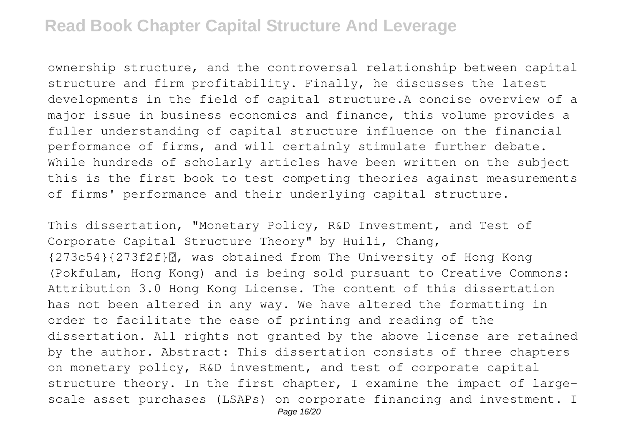ownership structure, and the controversal relationship between capital structure and firm profitability. Finally, he discusses the latest developments in the field of capital structure.A concise overview of a major issue in business economics and finance, this volume provides a fuller understanding of capital structure influence on the financial performance of firms, and will certainly stimulate further debate. While hundreds of scholarly articles have been written on the subject this is the first book to test competing theories against measurements of firms' performance and their underlying capital structure.

This dissertation, "Monetary Policy, R&D Investment, and Test of Corporate Capital Structure Theory" by Huili, Chang, {273c54}{273f2f}丽, was obtained from The University of Hong Kong (Pokfulam, Hong Kong) and is being sold pursuant to Creative Commons: Attribution 3.0 Hong Kong License. The content of this dissertation has not been altered in any way. We have altered the formatting in order to facilitate the ease of printing and reading of the dissertation. All rights not granted by the above license are retained by the author. Abstract: This dissertation consists of three chapters on monetary policy, R&D investment, and test of corporate capital structure theory. In the first chapter, I examine the impact of largescale asset purchases (LSAPs) on corporate financing and investment. I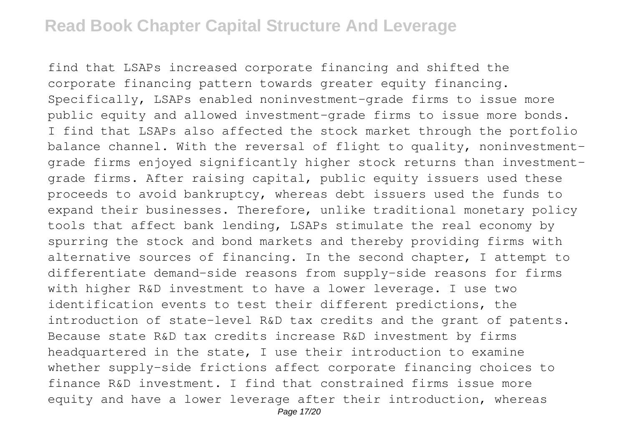find that LSAPs increased corporate financing and shifted the corporate financing pattern towards greater equity financing. Specifically, LSAPs enabled noninvestment-grade firms to issue more public equity and allowed investment-grade firms to issue more bonds. I find that LSAPs also affected the stock market through the portfolio balance channel. With the reversal of flight to quality, noninvestmentgrade firms enjoyed significantly higher stock returns than investmentgrade firms. After raising capital, public equity issuers used these proceeds to avoid bankruptcy, whereas debt issuers used the funds to expand their businesses. Therefore, unlike traditional monetary policy tools that affect bank lending, LSAPs stimulate the real economy by spurring the stock and bond markets and thereby providing firms with alternative sources of financing. In the second chapter, I attempt to differentiate demand-side reasons from supply-side reasons for firms with higher R&D investment to have a lower leverage. I use two identification events to test their different predictions, the introduction of state-level R&D tax credits and the grant of patents. Because state R&D tax credits increase R&D investment by firms headquartered in the state, I use their introduction to examine whether supply-side frictions affect corporate financing choices to finance R&D investment. I find that constrained firms issue more equity and have a lower leverage after their introduction, whereas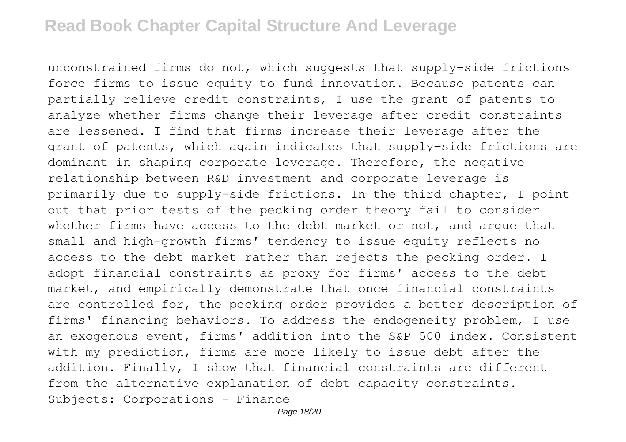unconstrained firms do not, which suggests that supply-side frictions force firms to issue equity to fund innovation. Because patents can partially relieve credit constraints, I use the grant of patents to analyze whether firms change their leverage after credit constraints are lessened. I find that firms increase their leverage after the grant of patents, which again indicates that supply-side frictions are dominant in shaping corporate leverage. Therefore, the negative relationship between R&D investment and corporate leverage is primarily due to supply-side frictions. In the third chapter, I point out that prior tests of the pecking order theory fail to consider whether firms have access to the debt market or not, and arque that small and high-growth firms' tendency to issue equity reflects no access to the debt market rather than rejects the pecking order. I adopt financial constraints as proxy for firms' access to the debt market, and empirically demonstrate that once financial constraints are controlled for, the pecking order provides a better description of firms' financing behaviors. To address the endogeneity problem, I use an exogenous event, firms' addition into the S&P 500 index. Consistent with my prediction, firms are more likely to issue debt after the addition. Finally, I show that financial constraints are different from the alternative explanation of debt capacity constraints. Subjects: Corporations - Finance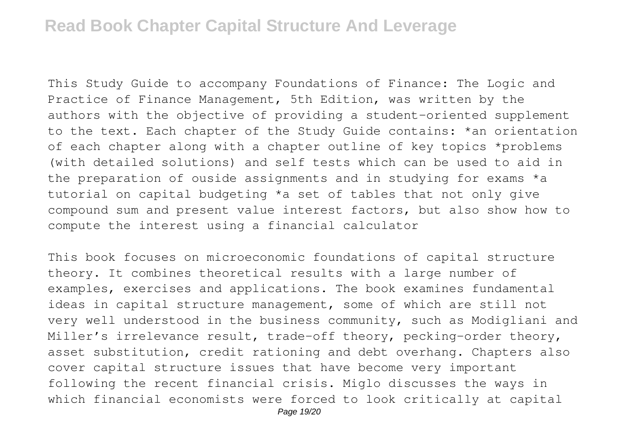This Study Guide to accompany Foundations of Finance: The Logic and Practice of Finance Management, 5th Edition, was written by the authors with the objective of providing a student-oriented supplement to the text. Each chapter of the Study Guide contains: \*an orientation of each chapter along with a chapter outline of key topics \*problems (with detailed solutions) and self tests which can be used to aid in the preparation of ouside assignments and in studying for exams \*a tutorial on capital budgeting \*a set of tables that not only give compound sum and present value interest factors, but also show how to compute the interest using a financial calculator

This book focuses on microeconomic foundations of capital structure theory. It combines theoretical results with a large number of examples, exercises and applications. The book examines fundamental ideas in capital structure management, some of which are still not very well understood in the business community, such as Modigliani and Miller's irrelevance result, trade-off theory, pecking-order theory, asset substitution, credit rationing and debt overhang. Chapters also cover capital structure issues that have become very important following the recent financial crisis. Miglo discusses the ways in which financial economists were forced to look critically at capital